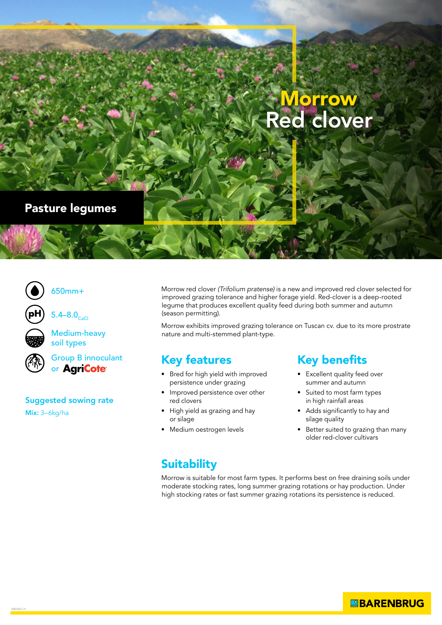# Morrow Red clover

#### Pasture legumes



650mm+





Medium-heavy soil types



Group B innoculant or AgriCote<sup>®</sup>

#### Suggested sowing rate

Mix: 3–6kg/ha

Morrow red clover *(Trifolium pratense)* is a new and improved red clover selected for improved grazing tolerance and higher forage yield. Red-clover is a deep-rooted legume that produces excellent quality feed during both summer and autumn (season permitting).

Morrow exhibits improved grazing tolerance on Tuscan cv. due to its more prostrate nature and multi-stemmed plant-type.

### Key features

- Bred for high yield with improved persistence under grazing
- Improved persistence over other red clovers
- High yield as grazing and hay or silage
- Medium oestrogen levels

## Key benefits

- Excellent quality feed over summer and autumn
- Suited to most farm types in high rainfall areas
- Adds significantly to hay and silage quality
- Better suited to grazing than many older red-clover cultivars

### **Suitability**

Morrow is suitable for most farm types. It performs best on free draining soils under moderate stocking rates, long summer grazing rotations or hay production. Under high stocking rates or fast summer grazing rotations its persistence is reduced.